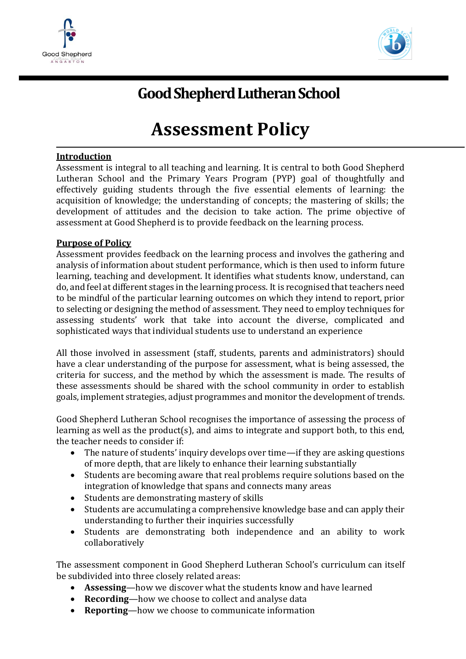



## **Good Shepherd Lutheran School**

# **Assessment Policy**

## **Introduction**

Assessment is integral to all teaching and learning. It is central to both Good Shepherd Lutheran School and the Primary Years Program (PYP) goal of thoughtfully and effectively guiding students through the five essential elements of learning: the acquisition of knowledge; the understanding of concepts; the mastering of skills; the development of attitudes and the decision to take action. The prime objective of assessment at Good Shepherd is to provide feedback on the learning process.

## **Purpose of Policy**

Assessment provides feedback on the learning process and involves the gathering and analysis of information about student performance, which is then used to inform future learning, teaching and development. It identifies what students know, understand, can do, and feel at different stages in the learning process. It is recognised that teachers need to be mindful of the particular learning outcomes on which they intend to report, prior to selecting or designing the method of assessment. They need to employ techniques for assessing students' work that take into account the diverse, complicated and sophisticated ways that individual students use to understand an experience

All those involved in assessment (staff, students, parents and administrators) should have a clear understanding of the purpose for assessment, what is being assessed, the criteria for success, and the method by which the assessment is made. The results of these assessments should be shared with the school community in order to establish goals, implement strategies, adjust programmes and monitor the development of trends.

Good Shepherd Lutheran School recognises the importance of assessing the process of learning as well as the product(s), and aims to integrate and support both, to this end, the teacher needs to consider if:

- The nature of students' inquiry develops over time—if they are asking questions of more depth, that are likely to enhance their learning substantially
- Students are becoming aware that real problems require solutions based on the integration of knowledge that spans and connects many areas
- Students are demonstrating mastery of skills
- Students are accumulating a comprehensive knowledge base and can apply their understanding to further their inquiries successfully
- Students are demonstrating both independence and an ability to work collaboratively

The assessment component in Good Shepherd Lutheran School's curriculum can itself be subdivided into three closely related areas:

- **Assessing**—how we discover what the students know and have learned
- **Recording**—how we choose to collect and analyse data
- **Reporting**—how we choose to communicate information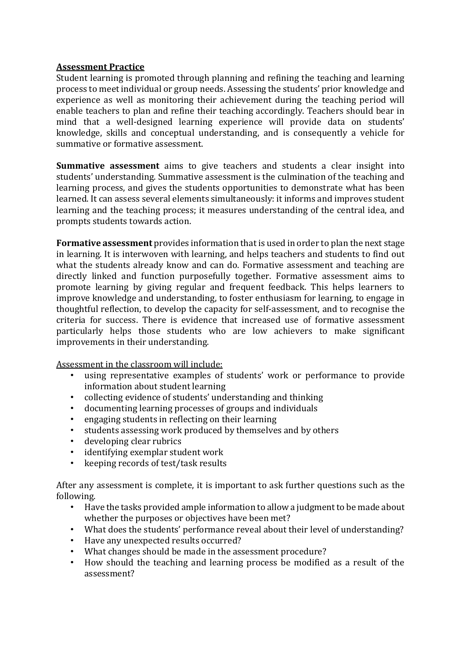#### **Assessment Practice**

Student learning is promoted through planning and refining the teaching and learning process to meet individual or group needs. Assessing the students' prior knowledge and experience as well as monitoring their achievement during the teaching period will enable teachers to plan and refine their teaching accordingly. Teachers should bear in mind that a well-designed learning experience will provide data on students' knowledge, skills and conceptual understanding, and is consequently a vehicle for summative or formative assessment.

**Summative assessment** aims to give teachers and students a clear insight into students' understanding. Summative assessment is the culmination of the teaching and learning process, and gives the students opportunities to demonstrate what has been learned. It can assess several elements simultaneously: it informs and improves student learning and the teaching process; it measures understanding of the central idea, and prompts students towards action.

**Formative assessment** provides information that is used in order to plan the next stage in learning. It is interwoven with learning, and helps teachers and students to find out what the students already know and can do. Formative assessment and teaching are directly linked and function purposefully together. Formative assessment aims to promote learning by giving regular and frequent feedback. This helps learners to improve knowledge and understanding, to foster enthusiasm for learning, to engage in thoughtful reflection, to develop the capacity for self-assessment, and to recognise the criteria for success. There is evidence that increased use of formative assessment particularly helps those students who are low achievers to make significant improvements in their understanding.

Assessment in the classroom will include:

- using representative examples of students' work or performance to provide information about student learning
- collecting evidence of students' understanding and thinking
- documenting learning processes of groups and individuals
- engaging students in reflecting on their learning
- students assessing work produced by themselves and by others
- developing clear rubrics
- identifying exemplar student work
- keeping records of test/task results

After any assessment is complete, it is important to ask further questions such as the following.

- Have the tasks provided ample information to allow a judgment to be made about whether the purposes or objectives have been met?
- What does the students' performance reveal about their level of understanding?
- Have any unexpected results occurred?
- What changes should be made in the assessment procedure?
- How should the teaching and learning process be modified as a result of the assessment?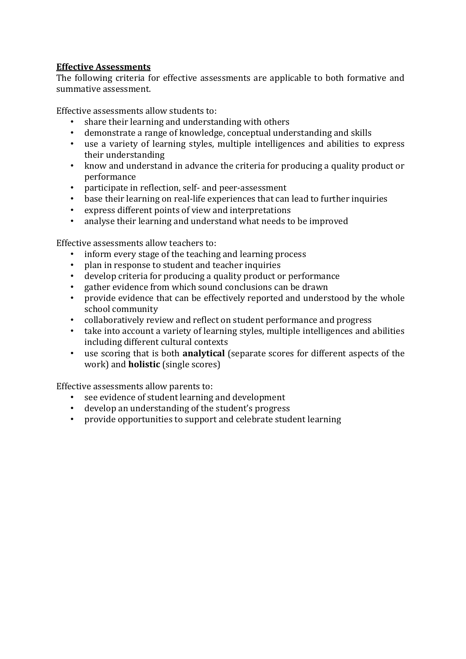## **Effective Assessments**

The following criteria for effective assessments are applicable to both formative and summative assessment.

Effective assessments allow students to:

- share their learning and understanding with others
- demonstrate a range of knowledge, conceptual understanding and skills
- use a variety of learning styles, multiple intelligences and abilities to express their understanding
- know and understand in advance the criteria for producing a quality product or performance
- participate in reflection, self- and peer-assessment
- base their learning on real-life experiences that can lead to further inquiries
- express different points of view and interpretations
- analyse their learning and understand what needs to be improved

Effective assessments allow teachers to:

- inform every stage of the teaching and learning process
- plan in response to student and teacher inquiries
- develop criteria for producing a quality product or performance
- gather evidence from which sound conclusions can be drawn
- provide evidence that can be effectively reported and understood by the whole school community
- collaboratively review and reflect on student performance and progress
- take into account a variety of learning styles, multiple intelligences and abilities including different cultural contexts
- use scoring that is both **analytical** (separate scores for different aspects of the work) and **holistic** (single scores)

Effective assessments allow parents to:

- see evidence of student learning and development
- develop an understanding of the student's progress
- provide opportunities to support and celebrate student learning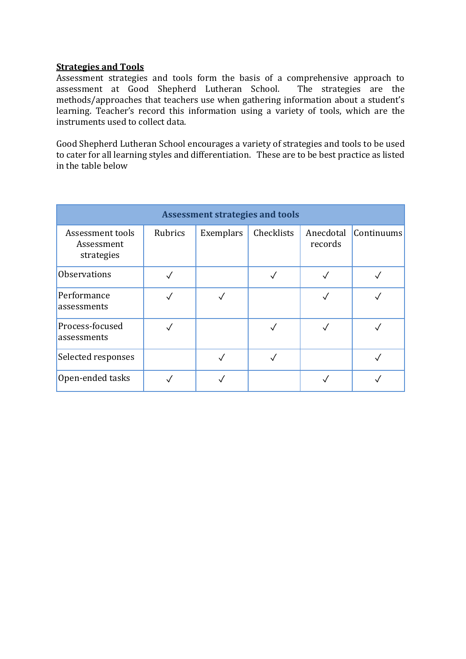#### **Strategies and Tools**

Assessment strategies and tools form the basis of a comprehensive approach to assessment at Good Shepherd Lutheran School. The strategies are the methods/approaches that teachers use when gathering information about a student's learning. Teacher's record this information using a variety of tools, which are the instruments used to collect data.

Good Shepherd Lutheran School encourages a variety of strategies and tools to be used to cater for all learning styles and differentiation. These are to be best practice as listed in the table below

| <b>Assessment strategies and tools</b>       |         |           |            |                      |            |
|----------------------------------------------|---------|-----------|------------|----------------------|------------|
| Assessment tools<br>Assessment<br>strategies | Rubrics | Exemplars | Checklists | Anecdotal<br>records | Continuums |
| <b>Observations</b>                          |         |           |            |                      |            |
| Performance<br>assessments                   |         |           |            |                      |            |
| Process-focused<br>assessments               |         |           |            |                      |            |
| Selected responses                           |         |           |            |                      |            |
| Open-ended tasks                             |         |           |            |                      |            |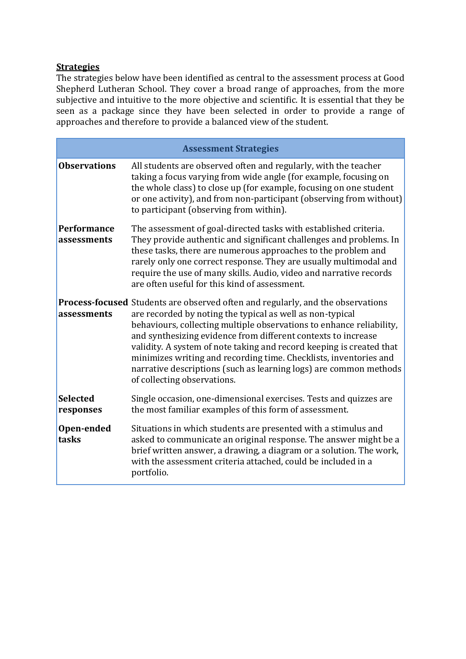## **Strategies**

The strategies below have been identified as central to the assessment process at Good Shepherd Lutheran School. They cover a broad range of approaches, from the more subjective and intuitive to the more objective and scientific. It is essential that they be seen as a package since they have been selected in order to provide a range of approaches and therefore to provide a balanced view of the student.

| <b>Assessment Strategies</b>      |                                                                                                                                                                                                                                                                                                                                                                                                                                                                                                                                               |  |  |  |
|-----------------------------------|-----------------------------------------------------------------------------------------------------------------------------------------------------------------------------------------------------------------------------------------------------------------------------------------------------------------------------------------------------------------------------------------------------------------------------------------------------------------------------------------------------------------------------------------------|--|--|--|
| <b>Observations</b>               | All students are observed often and regularly, with the teacher<br>taking a focus varying from wide angle (for example, focusing on<br>the whole class) to close up (for example, focusing on one student<br>or one activity), and from non-participant (observing from without)<br>to participant (observing from within).                                                                                                                                                                                                                   |  |  |  |
| <b>Performance</b><br>assessments | The assessment of goal-directed tasks with established criteria.<br>They provide authentic and significant challenges and problems. In<br>these tasks, there are numerous approaches to the problem and<br>rarely only one correct response. They are usually multimodal and<br>require the use of many skills. Audio, video and narrative records<br>are often useful for this kind of assessment.                                                                                                                                           |  |  |  |
| assessments                       | <b>Process-focused</b> Students are observed often and regularly, and the observations<br>are recorded by noting the typical as well as non-typical<br>behaviours, collecting multiple observations to enhance reliability,<br>and synthesizing evidence from different contexts to increase<br>validity. A system of note taking and record keeping is created that<br>minimizes writing and recording time. Checklists, inventories and<br>narrative descriptions (such as learning logs) are common methods<br>of collecting observations. |  |  |  |
| <b>Selected</b><br>responses      | Single occasion, one-dimensional exercises. Tests and quizzes are<br>the most familiar examples of this form of assessment.                                                                                                                                                                                                                                                                                                                                                                                                                   |  |  |  |
| Open-ended<br>tasks               | Situations in which students are presented with a stimulus and<br>asked to communicate an original response. The answer might be a<br>brief written answer, a drawing, a diagram or a solution. The work,<br>with the assessment criteria attached, could be included in a<br>portfolio.                                                                                                                                                                                                                                                      |  |  |  |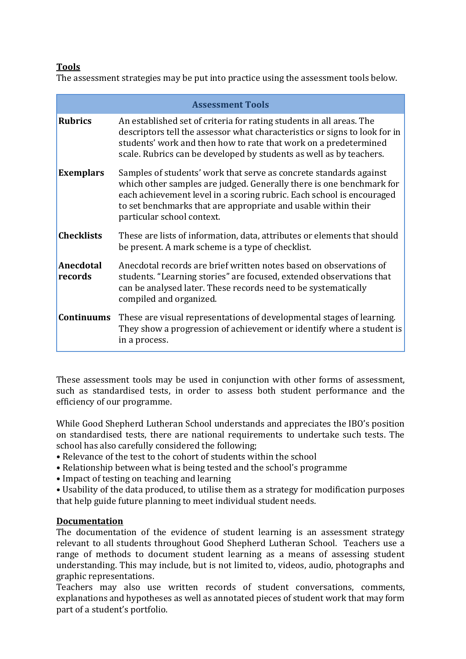## **Tools**

The assessment strategies may be put into practice using the assessment tools below.

| <b>Assessment Tools</b> |                                                                                                                                                                                                                                                                                                                     |  |  |  |
|-------------------------|---------------------------------------------------------------------------------------------------------------------------------------------------------------------------------------------------------------------------------------------------------------------------------------------------------------------|--|--|--|
| <b>Rubrics</b>          | An established set of criteria for rating students in all areas. The<br>descriptors tell the assessor what characteristics or signs to look for in<br>students' work and then how to rate that work on a predetermined<br>scale. Rubrics can be developed by students as well as by teachers.                       |  |  |  |
| <b>Exemplars</b>        | Samples of students' work that serve as concrete standards against<br>which other samples are judged. Generally there is one benchmark for<br>each achievement level in a scoring rubric. Each school is encouraged<br>to set benchmarks that are appropriate and usable within their<br>particular school context. |  |  |  |
| <b>Checklists</b>       | These are lists of information, data, attributes or elements that should<br>be present. A mark scheme is a type of checklist.                                                                                                                                                                                       |  |  |  |
| Anecdotal<br>records    | Anecdotal records are brief written notes based on observations of<br>students. "Learning stories" are focused, extended observations that<br>can be analysed later. These records need to be systematically<br>compiled and organized.                                                                             |  |  |  |
| <b>Continuums</b>       | These are visual representations of developmental stages of learning.<br>They show a progression of achievement or identify where a student is<br>in a process.                                                                                                                                                     |  |  |  |

These assessment tools may be used in conjunction with other forms of assessment, such as standardised tests, in order to assess both student performance and the efficiency of our programme.

While Good Shepherd Lutheran School understands and appreciates the IBO's position on standardised tests, there are national requirements to undertake such tests. The school has also carefully considered the following;

- Relevance of the test to the cohort of students within the school
- Relationship between what is being tested and the school's programme
- Impact of testing on teaching and learning

• Usability of the data produced, to utilise them as a strategy for modification purposes that help guide future planning to meet individual student needs.

#### **Documentation**

The documentation of the evidence of student learning is an assessment strategy relevant to all students throughout Good Shepherd Lutheran School. Teachers use a range of methods to document student learning as a means of assessing student understanding. This may include, but is not limited to, videos, audio, photographs and graphic representations.

Teachers may also use written records of student conversations, comments, explanations and hypotheses as well as annotated pieces of student work that may form part of a student's portfolio.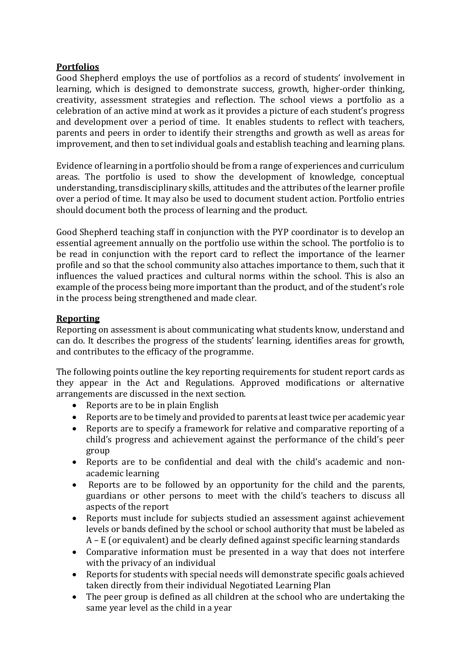## **Portfolios**

Good Shepherd employs the use of portfolios as a record of students' involvement in learning, which is designed to demonstrate success, growth, higher-order thinking, creativity, assessment strategies and reflection. The school views a portfolio as a celebration of an active mind at work as it provides a picture of each student's progress and development over a period of time. It enables students to reflect with teachers, parents and peers in order to identify their strengths and growth as well as areas for improvement, and then to set individual goals and establish teaching and learning plans.

Evidence of learning in a portfolio should be from a range of experiences and curriculum areas. The portfolio is used to show the development of knowledge, conceptual understanding, transdisciplinary skills, attitudes and the attributes of the learner profile over a period of time. It may also be used to document student action. Portfolio entries should document both the process of learning and the product.

Good Shepherd teaching staff in conjunction with the PYP coordinator is to develop an essential agreement annually on the portfolio use within the school. The portfolio is to be read in conjunction with the report card to reflect the importance of the learner profile and so that the school community also attaches importance to them, such that it influences the valued practices and cultural norms within the school. This is also an example of the process being more important than the product, and of the student's role in the process being strengthened and made clear.

## **Reporting**

Reporting on assessment is about communicating what students know, understand and can do. It describes the progress of the students' learning, identifies areas for growth, and contributes to the efficacy of the programme.

The following points outline the key reporting requirements for student report cards as they appear in the Act and Regulations. Approved modifications or alternative arrangements are discussed in the next section.

- Reports are to be in plain English
- Reports are to be timely and provided to parents at least twice per academic year
- Reports are to specify a framework for relative and comparative reporting of a child's progress and achievement against the performance of the child's peer group
- Reports are to be confidential and deal with the child's academic and nonacademic learning
- Reports are to be followed by an opportunity for the child and the parents, guardians or other persons to meet with the child's teachers to discuss all aspects of the report
- Reports must include for subjects studied an assessment against achievement levels or bands defined by the school or school authority that must be labeled as A – E (or equivalent) and be clearly defined against specific learning standards
- Comparative information must be presented in a way that does not interfere with the privacy of an individual
- Reports for students with special needs will demonstrate specific goals achieved taken directly from their individual Negotiated Learning Plan
- The peer group is defined as all children at the school who are undertaking the same year level as the child in a year